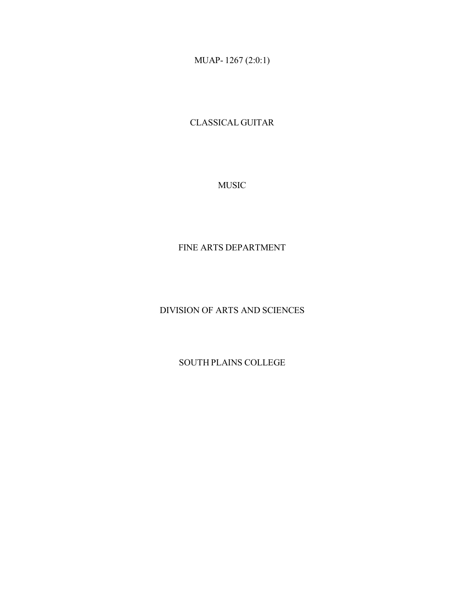MUAP- 1267 (2:0:1)

CLASSICAL GUITAR

MUSIC

# FINE ARTS DEPARTMENT

DIVISION OF ARTS AND SCIENCES

SOUTH PLAINS COLLEGE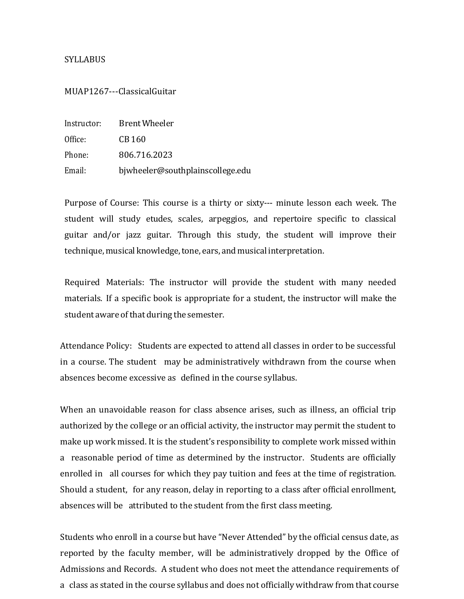### **SYLLABUS**

#### MUAP1267---ClassicalGuitar

| Instructor: | Brent Wheeler                    |
|-------------|----------------------------------|
| Office:     | CB 160                           |
| Phone:      | 806.716.2023                     |
| Email:      | bjwheeler@southplainscollege.edu |

Purpose of Course: This course is a thirty or sixty--- minute lesson each week. The student will study etudes, scales, arpeggios, and repertoire specific to classical guitar and/or jazz guitar. Through this study, the student will improve their technique, musical knowledge, tone, ears, and musical interpretation.

Required Materials: The instructor will provide the student with many needed materials. If a specific book is appropriate for a student, the instructor will make the student aware of that during the semester.

Attendance Policy: Students are expected to attend all classes in order to be successful in a course. The student may be administratively withdrawn from the course when absences become excessive as defined in the course syllabus.

When an unavoidable reason for class absence arises, such as illness, an official trip authorized by the college or an official activity, the instructor may permit the student to make up work missed. It is the student's responsibility to complete work missed within a reasonable period of time as determined by the instructor. Students are officially enrolled in all courses for which they pay tuition and fees at the time of registration. Should a student, for any reason, delay in reporting to a class after official enrollment, absences will be attributed to the student from the first class meeting.

Students who enroll in a course but have "Never Attended" by the official census date, as reported by the faculty member, will be administratively dropped by the Office of Admissions and Records. A student who does not meet the attendance requirements of a class as stated in the course syllabus and does not officially withdraw from that course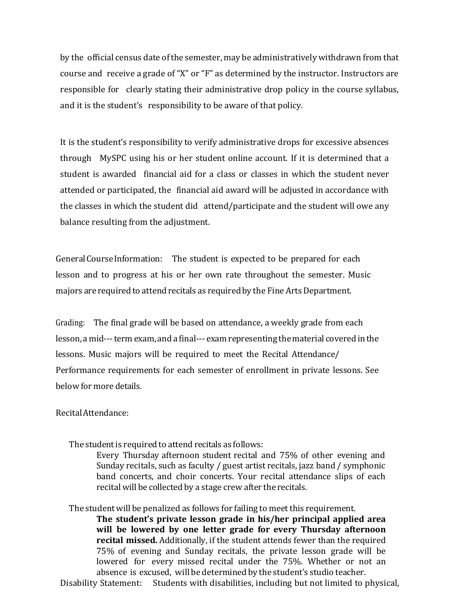by the official census date of the semester, may be administratively withdrawn from that course and receive a grade of "X" or "F" as determined by the instructor. Instructors are responsible for clearly stating their administrative drop policy in the course syllabus, and it is the student's responsibility to be aware of that policy.

It is the student's responsibility to verify administrative drops for excessive absences through MySPC using his or her student online account. If it is determined that a student is awarded financial aid for a class or classes in which the student never attended or participated, the financial aid award will be adjusted in accordance with the classes in which the student did attend/participate and the student will owe any balance resulting from the adjustment.

General Course Information: The student is expected to be prepared for each lesson and to progress at his or her own rate throughout the semester. Music majors are required to attend recitals as required by the Fine Arts Department.

Grading: The final grade will be based on attendance, a weekly grade from each lesson, amid---term exam, and a final--- examrepresenting thematerial covered in the lessons. Music majors will be required to meet the Recital Attendance/ Performance requirements for each semester of enrollment in private lessons. See belowfor more details.

### RecitalAttendance:

The student is required to attend recitals as follows:

Every Thursday afternoon student recital and 75% of other evening and Sunday recitals, such as faculty / guest artist recitals, jazz band / symphonic band concerts, and choir concerts. Your recital attendance slips of each recital will be collected by a stage crew after the recitals.

The studentwill be penalized as follows for failing to meet this requirement. **The student's private lesson grade in his/her principal applied area will be lowered by one letter grade for every Thursday afternoon recital missed.** Additionally, if the student attends fewer than the required 75% of evening and Sunday recitals, the private lesson grade will be lowered for every missed recital under the 75%. Whether or not an absence is excused, will be determined by the student's studio teacher. Disability Statement: Students with disabilities, including but not limited to physical,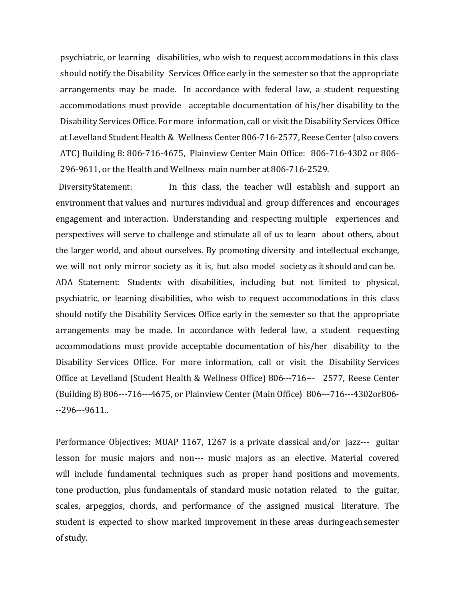psychiatric, or learning disabilities, who wish to request accommodations in this class should notify the Disability Services Office early in the semester so that the appropriate arrangements may be made. In accordance with federal law, a student requesting accommodations must provide acceptable documentation of his/her disability to the Disability Services Office. For more information, call or visit the Disability Services Office at Levelland Student Health & Wellness Center 806-716-2577, Reese Center (also covers ATC) Building 8: 806-716-4675, Plainview Center Main Office: 806-716-4302 or 806- 296-9611, or the Health and Wellness main number at 806-716-2529.

DiversityStatement: In this class, the teacher will establish and support an environment that values and nurtures individual and group differences and encourages engagement and interaction. Understanding and respecting multiple experiences and perspectives will serve to challenge and stimulate all of us to learn about others, about the larger world, and about ourselves. By promoting diversity and intellectual exchange, we will not only mirror society as it is, but also model society as it should and can be. ADA Statement: Students with disabilities, including but not limited to physical, psychiatric, or learning disabilities, who wish to request accommodations in this class should notify the Disability Services Office early in the semester so that the appropriate arrangements may be made. In accordance with federal law, a student requesting accommodations must provide acceptable documentation of his/her disability to the Disability Services Office. For more information, call or visit the Disability Services Office at Levelland (Student Health & Wellness Office) 806---716--- 2577, Reese Center (Building 8) 806---716---4675, or Plainview Center (Main Office) 806---716---4302or806- --296---9611..

Performance Objectives: MUAP 1167, 1267 is a private classical and/or jazz--- guitar lesson for music majors and non--- music majors as an elective. Material covered will include fundamental techniques such as proper hand positions and movements, tone production, plus fundamentals of standard music notation related to the guitar, scales, arpeggios, chords, and performance of the assigned musical literature. The student is expected to show marked improvement in these areas during each semester of study.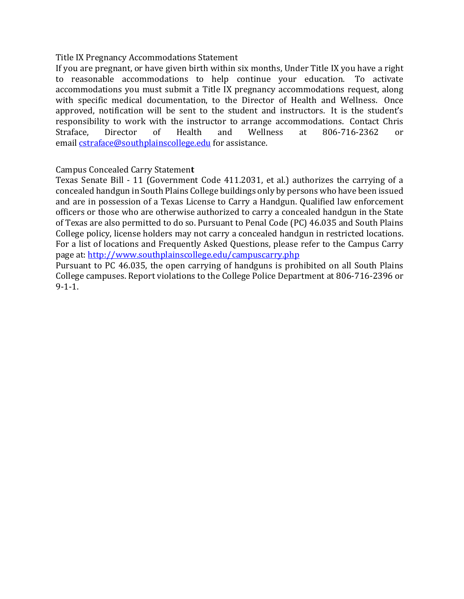# Title IX Pregnancy Accommodations Statement

If you are pregnant, or have given birth within six months, Under Title IX you have a right to reasonable accommodations to help continue your education. To activate accommodations you must submit a Title IX pregnancy accommodations request, along with specific medical documentation, to the Director of Health and Wellness. Once approved, notification will be sent to the student and instructors. It is the student's responsibility to work with the instructor to arrange accommodations. Contact Chris Straface, Director of Health and Wellness at 806-716-2362 or email cstraface@southplainscollege.edu for assistance.

# Campus Concealed Carry Statemen**t**

Texas Senate Bill - 11 (Government Code 411.2031, et al.) authorizes the carrying of a concealed handgun in South Plains College buildings only by persons who have been issued and are in possession of a Texas License to Carry a Handgun. Qualified law enforcement officers or those who are otherwise authorized to carry a concealed handgun in the State of Texas are also permitted to do so. Pursuant to Penal Code (PC) 46.035 and South Plains College policy, license holders may not carry a concealed handgun in restricted locations. For a list of locations and Frequently Asked Questions, please refer to the Campus Carry page at: http://www.southplainscollege.edu/campuscarry.php

Pursuant to PC 46.035, the open carrying of handguns is prohibited on all South Plains College campuses. Report violations to the College Police Department at 806-716-2396 or 9-1-1.